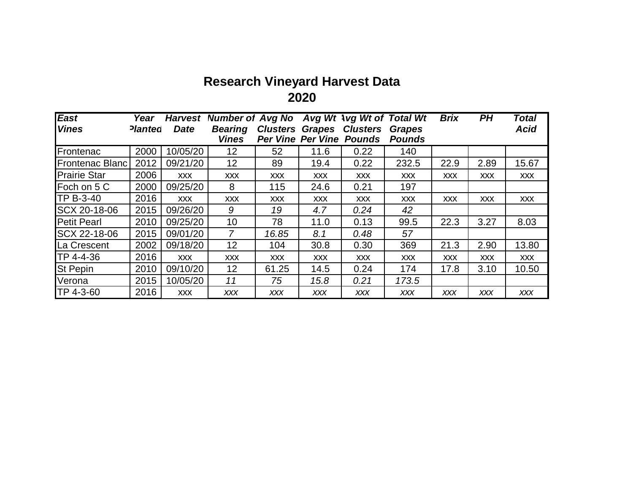## **Research Vineyard Harvest Data 2020**

| <b>East</b>            | Year           | <b>Harvest</b> | Number of Avg No Avg Wt Avg Wt of Total Wt |            |            |                                                                    |                                | <b>Brix</b> | PH         | <b>Total</b> |
|------------------------|----------------|----------------|--------------------------------------------|------------|------------|--------------------------------------------------------------------|--------------------------------|-------------|------------|--------------|
| <b>Vines</b>           | <b>Planted</b> | <b>Date</b>    | <b>Bearing</b><br><b>Vines</b>             |            |            | <b>Clusters Grapes Clusters</b><br><b>Per Vine Per Vine Pounds</b> | <b>Grapes</b><br><b>Pounds</b> |             |            | <b>Acid</b>  |
|                        |                |                |                                            |            |            |                                                                    |                                |             |            |              |
| Frontenac              | 2000           | 10/05/20       | 12                                         | 52         | 11.6       | 0.22                                                               | 140                            |             |            |              |
| <b>Frontenac Blanc</b> | 2012           | 09/21/20       | 12                                         | 89         | 19.4       | 0.22                                                               | 232.5                          | 22.9        | 2.89       | 15.67        |
| <b>Prairie Star</b>    | 2006           | <b>XXX</b>     | <b>XXX</b>                                 | <b>XXX</b> | <b>XXX</b> | <b>XXX</b>                                                         | <b>XXX</b>                     | <b>XXX</b>  | <b>XXX</b> | <b>XXX</b>   |
| Foch on 5 C            | 2000           | 09/25/20       | 8                                          | 115        | 24.6       | 0.21                                                               | 197                            |             |            |              |
| <b>TP B-3-40</b>       | 2016           | <b>XXX</b>     | <b>XXX</b>                                 | <b>XXX</b> | <b>XXX</b> | <b>XXX</b>                                                         | <b>XXX</b>                     | <b>XXX</b>  | <b>XXX</b> | <b>XXX</b>   |
| SCX 20-18-06           | 2015           | 09/26/20       | 9                                          | 19         | 4.7        | 0.24                                                               | 42                             |             |            |              |
| <b>Petit Pearl</b>     | 2010           | 09/25/20       | 10                                         | 78         | 11.0       | 0.13                                                               | 99.5                           | 22.3        | 3.27       | 8.03         |
| SCX 22-18-06           | 2015           | 09/01/20       | $\overline{7}$                             | 16.85      | 8.1        | 0.48                                                               | 57                             |             |            |              |
| La Crescent            | 2002           | 09/18/20       | 12                                         | 104        | 30.8       | 0.30                                                               | 369                            | 21.3        | 2.90       | 13.80        |
| TP 4-4-36              | 2016           | <b>XXX</b>     | <b>XXX</b>                                 | <b>XXX</b> | <b>XXX</b> | <b>XXX</b>                                                         | <b>XXX</b>                     | <b>XXX</b>  | <b>XXX</b> | <b>XXX</b>   |
| <b>St Pepin</b>        | 2010           | 09/10/20       | 12                                         | 61.25      | 14.5       | 0.24                                                               | 174                            | 17.8        | 3.10       | 10.50        |
| Verona                 | 2015           | 10/05/20       | 11                                         | 75         | 15.8       | 0.21                                                               | 173.5                          |             |            |              |
| TP 4-3-60              | 2016           | <b>XXX</b>     | <b>XXX</b>                                 | <b>XXX</b> | <b>XXX</b> | <b>XXX</b>                                                         | <b>XXX</b>                     | <b>XXX</b>  | <b>XXX</b> | <b>XXX</b>   |